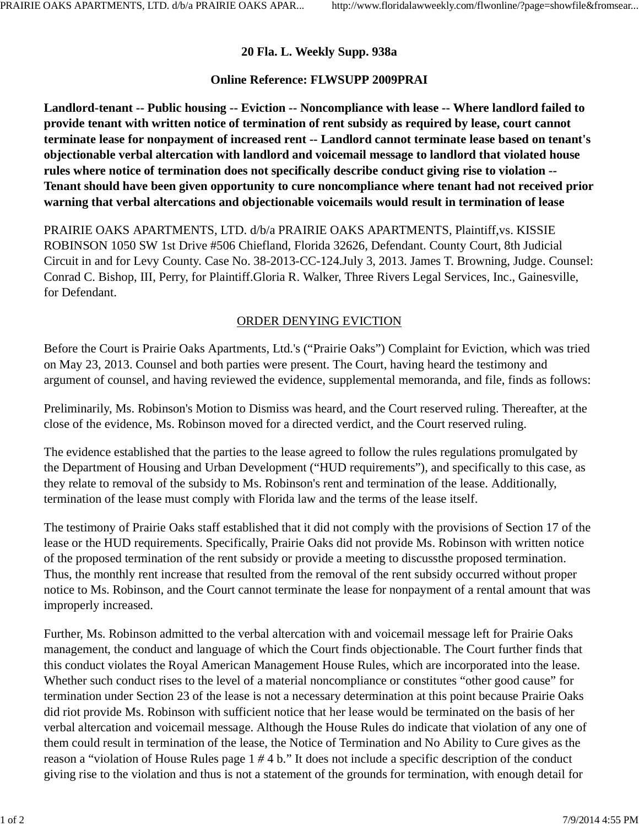## **20 Fla. L. Weekly Supp. 938a**

## **Online Reference: FLWSUPP 2009PRAI**

**Landlord-tenant -- Public housing -- Eviction -- Noncompliance with lease -- Where landlord failed to provide tenant with written notice of termination of rent subsidy as required by lease, court cannot terminate lease for nonpayment of increased rent -- Landlord cannot terminate lease based on tenant's objectionable verbal altercation with landlord and voicemail message to landlord that violated house rules where notice of termination does not specifically describe conduct giving rise to violation -- Tenant should have been given opportunity to cure noncompliance where tenant had not received prior warning that verbal altercations and objectionable voicemails would result in termination of lease**

PRAIRIE OAKS APARTMENTS, LTD. d/b/a PRAIRIE OAKS APARTMENTS, Plaintiff,vs. KISSIE ROBINSON 1050 SW 1st Drive #506 Chiefland, Florida 32626, Defendant. County Court, 8th Judicial Circuit in and for Levy County. Case No. 38-2013-CC-124.July 3, 2013. James T. Browning, Judge. Counsel: Conrad C. Bishop, III, Perry, for Plaintiff.Gloria R. Walker, Three Rivers Legal Services, Inc., Gainesville, for Defendant.

## ORDER DENYING EVICTION

Before the Court is Prairie Oaks Apartments, Ltd.'s ("Prairie Oaks") Complaint for Eviction, which was tried on May 23, 2013. Counsel and both parties were present. The Court, having heard the testimony and argument of counsel, and having reviewed the evidence, supplemental memoranda, and file, finds as follows:

Preliminarily, Ms. Robinson's Motion to Dismiss was heard, and the Court reserved ruling. Thereafter, at the close of the evidence, Ms. Robinson moved for a directed verdict, and the Court reserved ruling.

The evidence established that the parties to the lease agreed to follow the rules regulations promulgated by the Department of Housing and Urban Development ("HUD requirements"), and specifically to this case, as they relate to removal of the subsidy to Ms. Robinson's rent and termination of the lease. Additionally, termination of the lease must comply with Florida law and the terms of the lease itself.

The testimony of Prairie Oaks staff established that it did not comply with the provisions of Section 17 of the lease or the HUD requirements. Specifically, Prairie Oaks did not provide Ms. Robinson with written notice of the proposed termination of the rent subsidy or provide a meeting to discussthe proposed termination. Thus, the monthly rent increase that resulted from the removal of the rent subsidy occurred without proper notice to Ms. Robinson, and the Court cannot terminate the lease for nonpayment of a rental amount that was improperly increased.

Further, Ms. Robinson admitted to the verbal altercation with and voicemail message left for Prairie Oaks management, the conduct and language of which the Court finds objectionable. The Court further finds that this conduct violates the Royal American Management House Rules, which are incorporated into the lease. Whether such conduct rises to the level of a material noncompliance or constitutes "other good cause" for termination under Section 23 of the lease is not a necessary determination at this point because Prairie Oaks did riot provide Ms. Robinson with sufficient notice that her lease would be terminated on the basis of her verbal altercation and voicemail message. Although the House Rules do indicate that violation of any one of them could result in termination of the lease, the Notice of Termination and No Ability to Cure gives as the reason a "violation of House Rules page 1 *#* 4 b." It does not include a specific description of the conduct giving rise to the violation and thus is not a statement of the grounds for termination, with enough detail for